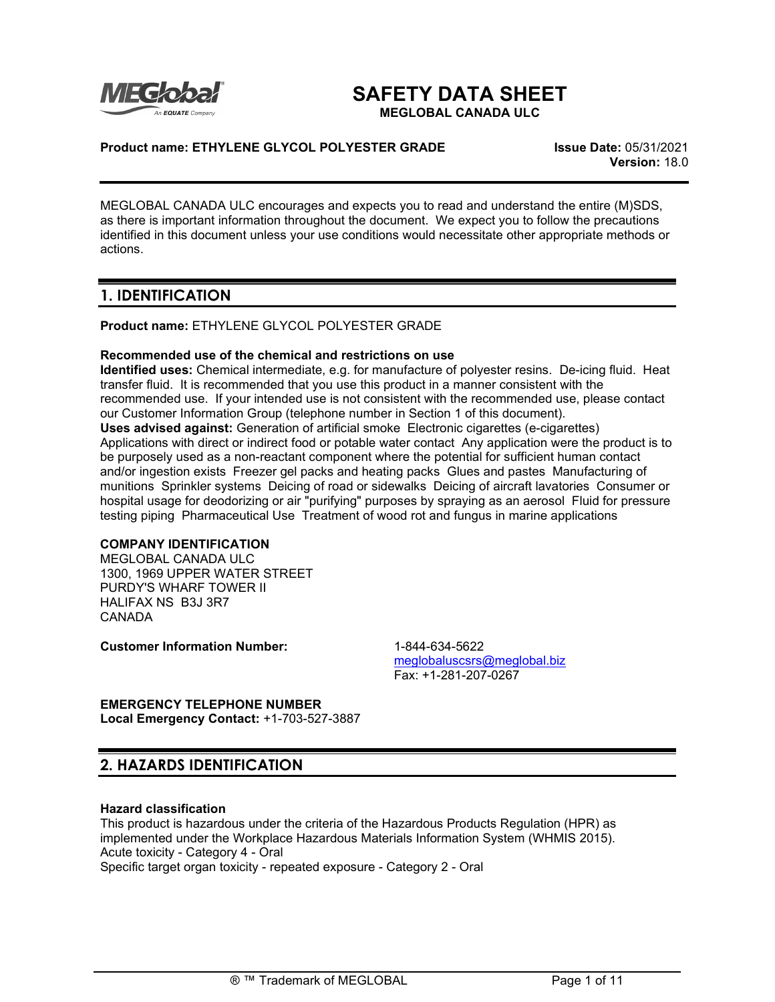

# **SAFETY DATA SHEET**

**MEGLOBAL CANADA ULC**

### **Product name: ETHYLENE GLYCOL POLYESTER GRADE Issue Date:** 05/31/2021

**Version:** 18.0

MEGLOBAL CANADA ULC encourages and expects you to read and understand the entire (M)SDS, as there is important information throughout the document. We expect you to follow the precautions identified in this document unless your use conditions would necessitate other appropriate methods or actions.

# **1. IDENTIFICATION**

**Product name:** ETHYLENE GLYCOL POLYESTER GRADE

#### **Recommended use of the chemical and restrictions on use**

**Identified uses:** Chemical intermediate, e.g. for manufacture of polyester resins. De-icing fluid. Heat transfer fluid. It is recommended that you use this product in a manner consistent with the recommended use. If your intended use is not consistent with the recommended use, please contact our Customer Information Group (telephone number in Section 1 of this document). **Uses advised against:** Generation of artificial smoke Electronic cigarettes (e-cigarettes) Applications with direct or indirect food or potable water contact Any application were the product is to be purposely used as a non-reactant component where the potential for sufficient human contact and/or ingestion exists Freezer gel packs and heating packs Glues and pastes Manufacturing of munitions Sprinkler systems Deicing of road or sidewalks Deicing of aircraft lavatories Consumer or hospital usage for deodorizing or air "purifying" purposes by spraying as an aerosol Fluid for pressure testing piping Pharmaceutical Use Treatment of wood rot and fungus in marine applications

### **COMPANY IDENTIFICATION**

MEGLOBAL CANADA ULC 1300, 1969 UPPER WATER STREET PURDY'S WHARF TOWER II HALIFAX NS B3J 3R7 CANADA

**Customer Information Number:** 1-844-634-5622

[meglobaluscsrs@meglobal.biz](mailto:meglobaluscsrs@meglobal.biz) Fax: +1-281-207-0267

**EMERGENCY TELEPHONE NUMBER Local Emergency Contact:** +1-703-527-3887

# **2. HAZARDS IDENTIFICATION**

#### **Hazard classification**

This product is hazardous under the criteria of the Hazardous Products Regulation (HPR) as implemented under the Workplace Hazardous Materials Information System (WHMIS 2015). Acute toxicity - Category 4 - Oral Specific target organ toxicity - repeated exposure - Category 2 - Oral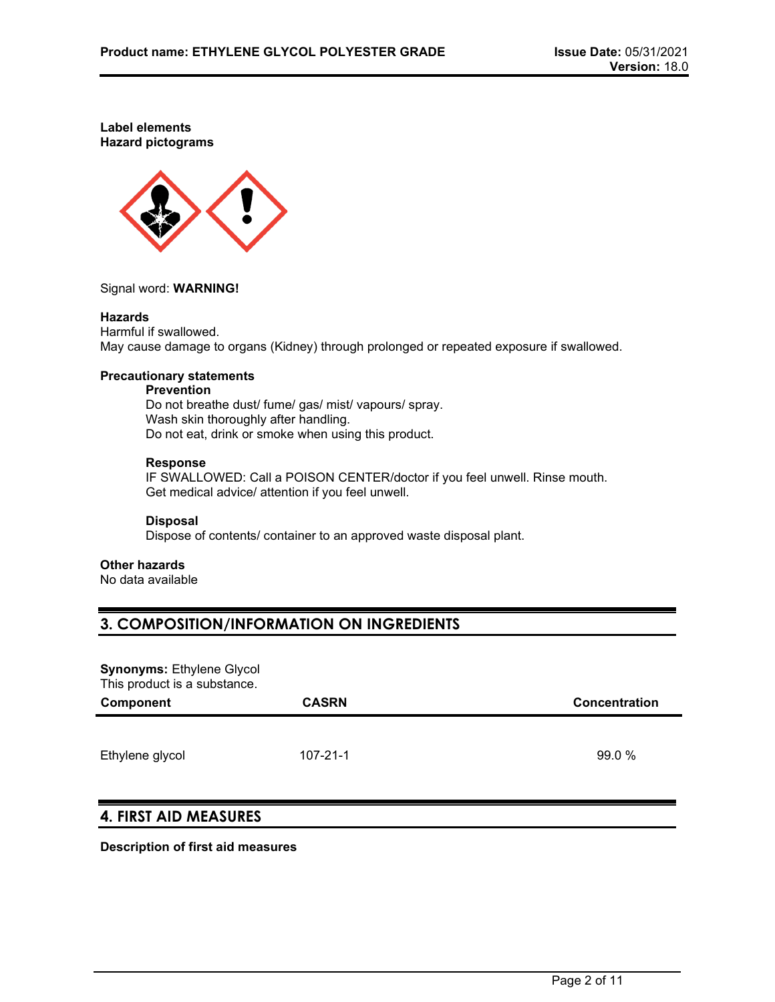**Label elements Hazard pictograms**



Signal word: **WARNING!**

#### **Hazards**

Harmful if swallowed. May cause damage to organs (Kidney) through prolonged or repeated exposure if swallowed.

#### **Precautionary statements**

#### **Prevention**

Do not breathe dust/ fume/ gas/ mist/ vapours/ spray. Wash skin thoroughly after handling. Do not eat, drink or smoke when using this product.

#### **Response**

IF SWALLOWED: Call a POISON CENTER/doctor if you feel unwell. Rinse mouth. Get medical advice/ attention if you feel unwell.

#### **Disposal**

Dispose of contents/ container to an approved waste disposal plant.

#### **Other hazards**

No data available

### **3. COMPOSITION/INFORMATION ON INGREDIENTS**

**Synonyms: Ethylene Glycol** This product is a substance.

| Component       | <b>CASRN</b>   | Concentration |
|-----------------|----------------|---------------|
| Ethylene glycol | $107 - 21 - 1$ | 99.0 %        |

# **4. FIRST AID MEASURES**

**Description of first aid measures**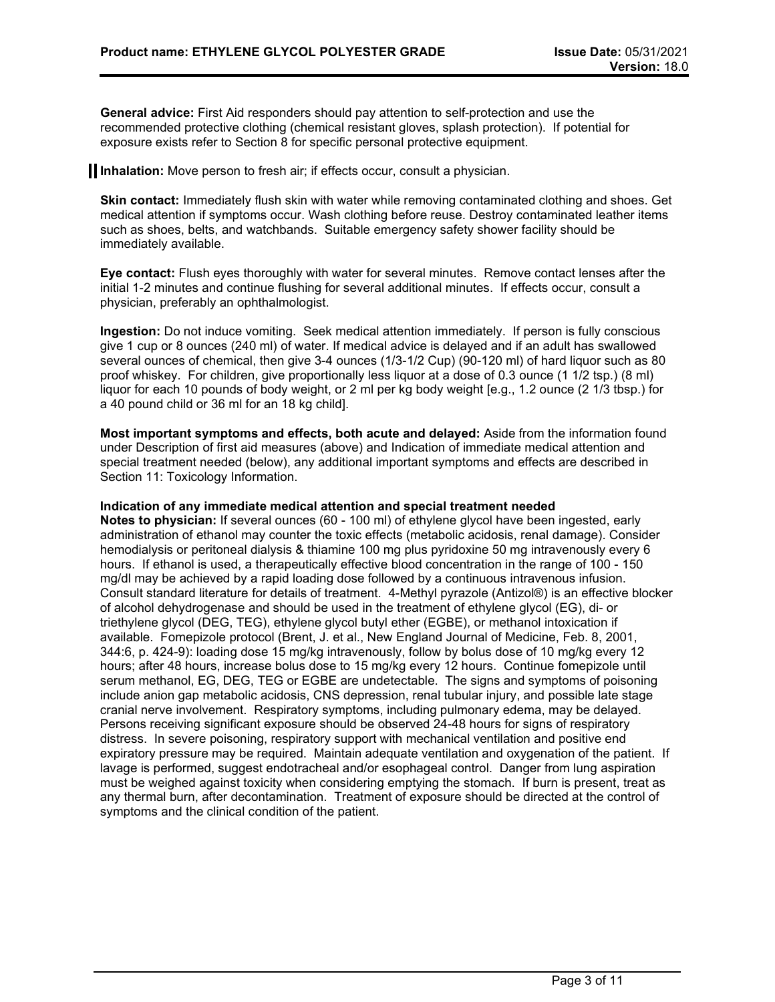**General advice:** First Aid responders should pay attention to self-protection and use the recommended protective clothing (chemical resistant gloves, splash protection). If potential for exposure exists refer to Section 8 for specific personal protective equipment.

**Inhalation:** Move person to fresh air; if effects occur, consult a physician.

**Skin contact:** Immediately flush skin with water while removing contaminated clothing and shoes. Get medical attention if symptoms occur. Wash clothing before reuse. Destroy contaminated leather items such as shoes, belts, and watchbands. Suitable emergency safety shower facility should be immediately available.

**Eye contact:** Flush eyes thoroughly with water for several minutes. Remove contact lenses after the initial 1-2 minutes and continue flushing for several additional minutes. If effects occur, consult a physician, preferably an ophthalmologist.

**Ingestion:** Do not induce vomiting. Seek medical attention immediately. If person is fully conscious give 1 cup or 8 ounces (240 ml) of water. If medical advice is delayed and if an adult has swallowed several ounces of chemical, then give 3-4 ounces (1/3-1/2 Cup) (90-120 ml) of hard liquor such as 80 proof whiskey. For children, give proportionally less liquor at a dose of 0.3 ounce (1 1/2 tsp.) (8 ml) liquor for each 10 pounds of body weight, or 2 ml per kg body weight [e.g., 1.2 ounce (2 1/3 tbsp.) for a 40 pound child or 36 ml for an 18 kg child].

**Most important symptoms and effects, both acute and delayed:** Aside from the information found under Description of first aid measures (above) and Indication of immediate medical attention and special treatment needed (below), any additional important symptoms and effects are described in Section 11: Toxicology Information.

#### **Indication of any immediate medical attention and special treatment needed**

**Notes to physician:** If several ounces (60 - 100 ml) of ethylene glycol have been ingested, early administration of ethanol may counter the toxic effects (metabolic acidosis, renal damage). Consider hemodialysis or peritoneal dialysis & thiamine 100 mg plus pyridoxine 50 mg intravenously every 6 hours. If ethanol is used, a therapeutically effective blood concentration in the range of 100 - 150 mg/dl may be achieved by a rapid loading dose followed by a continuous intravenous infusion. Consult standard literature for details of treatment. 4-Methyl pyrazole (Antizol®) is an effective blocker of alcohol dehydrogenase and should be used in the treatment of ethylene glycol (EG), di- or triethylene glycol (DEG, TEG), ethylene glycol butyl ether (EGBE), or methanol intoxication if available. Fomepizole protocol (Brent, J. et al., New England Journal of Medicine, Feb. 8, 2001, 344:6, p. 424-9): loading dose 15 mg/kg intravenously, follow by bolus dose of 10 mg/kg every 12 hours; after 48 hours, increase bolus dose to 15 mg/kg every 12 hours. Continue fomepizole until serum methanol, EG, DEG, TEG or EGBE are undetectable. The signs and symptoms of poisoning include anion gap metabolic acidosis, CNS depression, renal tubular injury, and possible late stage cranial nerve involvement. Respiratory symptoms, including pulmonary edema, may be delayed. Persons receiving significant exposure should be observed 24-48 hours for signs of respiratory distress. In severe poisoning, respiratory support with mechanical ventilation and positive end expiratory pressure may be required. Maintain adequate ventilation and oxygenation of the patient. If lavage is performed, suggest endotracheal and/or esophageal control. Danger from lung aspiration must be weighed against toxicity when considering emptying the stomach. If burn is present, treat as any thermal burn, after decontamination. Treatment of exposure should be directed at the control of symptoms and the clinical condition of the patient.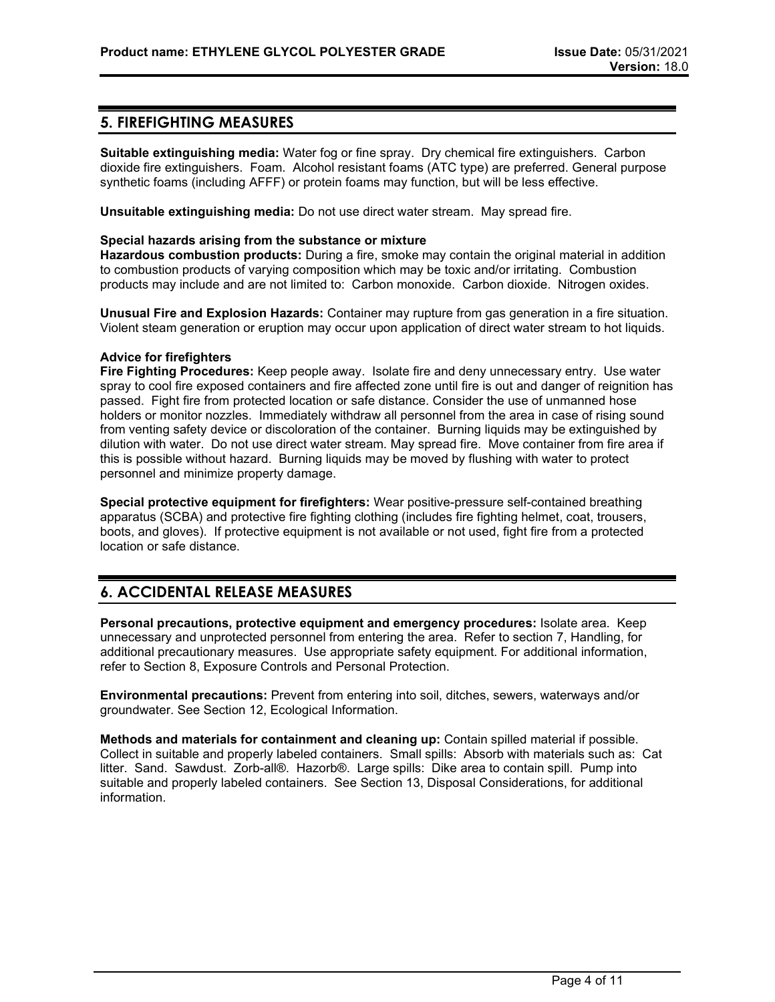### **5. FIREFIGHTING MEASURES**

**Suitable extinguishing media:** Water fog or fine spray. Dry chemical fire extinguishers. Carbon dioxide fire extinguishers. Foam. Alcohol resistant foams (ATC type) are preferred. General purpose synthetic foams (including AFFF) or protein foams may function, but will be less effective.

**Unsuitable extinguishing media:** Do not use direct water stream. May spread fire.

#### **Special hazards arising from the substance or mixture**

**Hazardous combustion products:** During a fire, smoke may contain the original material in addition to combustion products of varying composition which may be toxic and/or irritating. Combustion products may include and are not limited to: Carbon monoxide. Carbon dioxide. Nitrogen oxides.

**Unusual Fire and Explosion Hazards:** Container may rupture from gas generation in a fire situation. Violent steam generation or eruption may occur upon application of direct water stream to hot liquids.

#### **Advice for firefighters**

**Fire Fighting Procedures:** Keep people away. Isolate fire and deny unnecessary entry. Use water spray to cool fire exposed containers and fire affected zone until fire is out and danger of reignition has passed. Fight fire from protected location or safe distance. Consider the use of unmanned hose holders or monitor nozzles. Immediately withdraw all personnel from the area in case of rising sound from venting safety device or discoloration of the container. Burning liquids may be extinguished by dilution with water. Do not use direct water stream. May spread fire. Move container from fire area if this is possible without hazard. Burning liquids may be moved by flushing with water to protect personnel and minimize property damage.

**Special protective equipment for firefighters:** Wear positive-pressure self-contained breathing apparatus (SCBA) and protective fire fighting clothing (includes fire fighting helmet, coat, trousers, boots, and gloves). If protective equipment is not available or not used, fight fire from a protected location or safe distance.

# **6. ACCIDENTAL RELEASE MEASURES**

**Personal precautions, protective equipment and emergency procedures:** Isolate area. Keep unnecessary and unprotected personnel from entering the area. Refer to section 7, Handling, for additional precautionary measures. Use appropriate safety equipment. For additional information, refer to Section 8, Exposure Controls and Personal Protection.

**Environmental precautions:** Prevent from entering into soil, ditches, sewers, waterways and/or groundwater. See Section 12, Ecological Information.

**Methods and materials for containment and cleaning up:** Contain spilled material if possible. Collect in suitable and properly labeled containers. Small spills: Absorb with materials such as: Cat litter. Sand. Sawdust. Zorb-all®. Hazorb®. Large spills: Dike area to contain spill. Pump into suitable and properly labeled containers. See Section 13, Disposal Considerations, for additional information.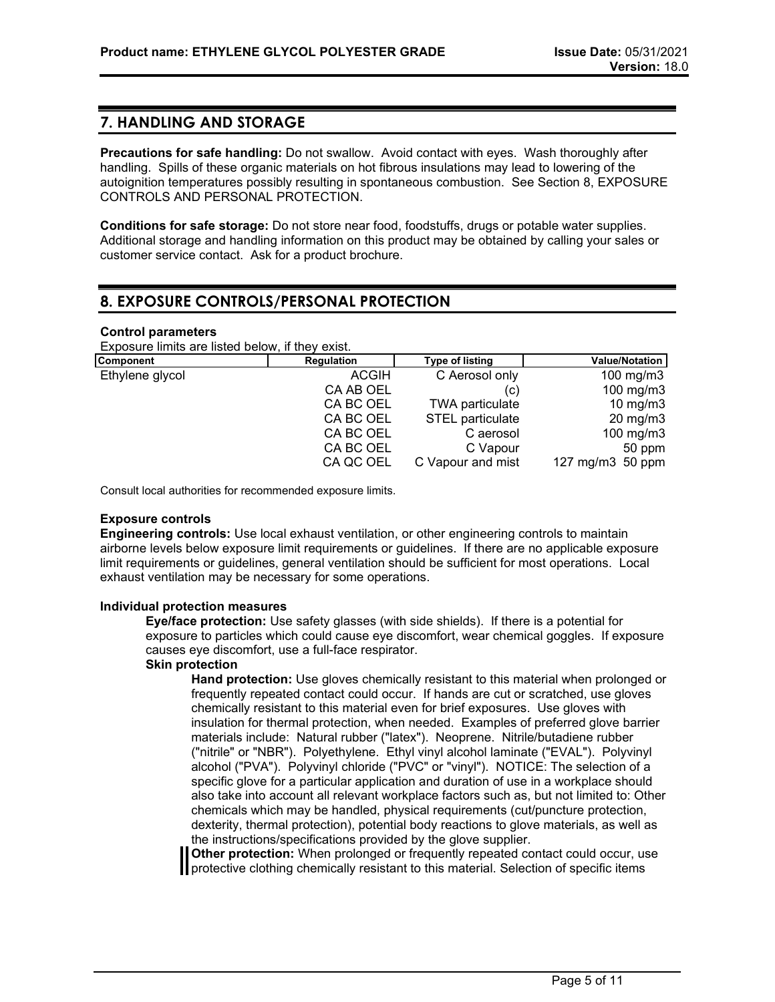### **7. HANDLING AND STORAGE**

**Precautions for safe handling:** Do not swallow. Avoid contact with eyes. Wash thoroughly after handling. Spills of these organic materials on hot fibrous insulations may lead to lowering of the autoignition temperatures possibly resulting in spontaneous combustion. See Section 8, EXPOSURE CONTROLS AND PERSONAL PROTECTION.

**Conditions for safe storage:** Do not store near food, foodstuffs, drugs or potable water supplies. Additional storage and handling information on this product may be obtained by calling your sales or customer service contact. Ask for a product brochure.

# **8. EXPOSURE CONTROLS/PERSONAL PROTECTION**

#### **Control parameters**

Exposure limits are listed below, if they exist.

| <b>Component</b> | Regulation   | <b>Type of listing</b> | <b>Value/Notation</b> |
|------------------|--------------|------------------------|-----------------------|
| Ethylene glycol  | <b>ACGIH</b> | C Aerosol only         | 100 mg/m $3$          |
|                  | CA AB OEL    | (C)                    | 100 mg/m $3$          |
|                  | CA BC OEL    | <b>TWA particulate</b> | $10 \text{ mg/m}$     |
|                  | CA BC OEL    | STEL particulate       | $20 \text{ mg/m}$ 3   |
|                  | CA BC OEL    | C aerosol              | 100 mg/m $3$          |
|                  | CA BC OEL    | C Vapour               | 50 ppm                |
|                  | CA QC OEL    | C Vapour and mist      | 127 mg/m3 50 ppm      |

Consult local authorities for recommended exposure limits.

#### **Exposure controls**

**Engineering controls:** Use local exhaust ventilation, or other engineering controls to maintain airborne levels below exposure limit requirements or guidelines. If there are no applicable exposure limit requirements or guidelines, general ventilation should be sufficient for most operations. Local exhaust ventilation may be necessary for some operations.

#### **Individual protection measures**

**Eye/face protection:** Use safety glasses (with side shields). If there is a potential for exposure to particles which could cause eye discomfort, wear chemical goggles. If exposure causes eye discomfort, use a full-face respirator.

#### **Skin protection**

**Hand protection:** Use gloves chemically resistant to this material when prolonged or frequently repeated contact could occur. If hands are cut or scratched, use gloves chemically resistant to this material even for brief exposures. Use gloves with insulation for thermal protection, when needed. Examples of preferred glove barrier materials include: Natural rubber ("latex"). Neoprene. Nitrile/butadiene rubber ("nitrile" or "NBR"). Polyethylene. Ethyl vinyl alcohol laminate ("EVAL"). Polyvinyl alcohol ("PVA"). Polyvinyl chloride ("PVC" or "vinyl"). NOTICE: The selection of a specific glove for a particular application and duration of use in a workplace should also take into account all relevant workplace factors such as, but not limited to: Other chemicals which may be handled, physical requirements (cut/puncture protection, dexterity, thermal protection), potential body reactions to glove materials, as well as the instructions/specifications provided by the glove supplier.

**Other protection:** When prolonged or frequently repeated contact could occur, use **If** protective clothing chemically resistant to this material. Selection of specific items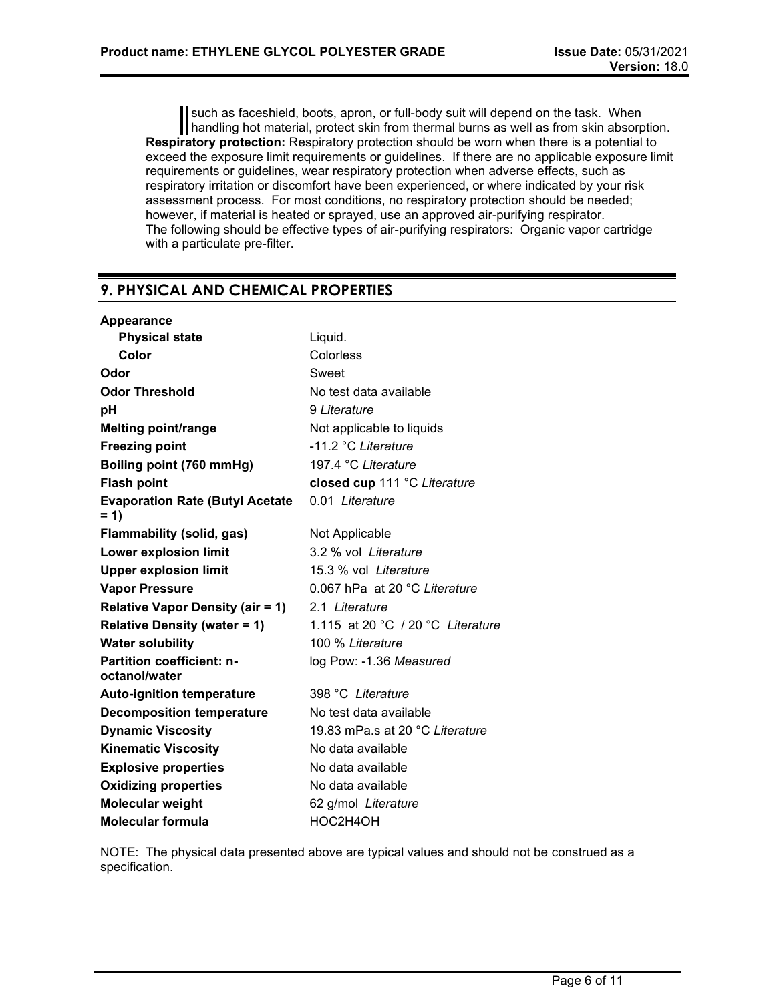such as faceshield, boots, apron, or full-body suit will depend on the task. When handling hot material, protect skin from thermal burns as well as from skin absorption. **Respiratory protection:** Respiratory protection should be worn when there is a potential to exceed the exposure limit requirements or guidelines. If there are no applicable exposure limit requirements or guidelines, wear respiratory protection when adverse effects, such as respiratory irritation or discomfort have been experienced, or where indicated by your risk assessment process. For most conditions, no respiratory protection should be needed; however, if material is heated or sprayed, use an approved air-purifying respirator. The following should be effective types of air-purifying respirators: Organic vapor cartridge with a particulate pre-filter.

# **9. PHYSICAL AND CHEMICAL PROPERTIES**

| Liquid.                           |
|-----------------------------------|
| Colorless                         |
| Sweet                             |
| No test data available            |
| 9 Literature                      |
| Not applicable to liquids         |
| -11.2 °C Literature               |
| 197.4 °C Literature               |
| closed cup 111 °C Literature      |
| 0.01 Literature                   |
| Not Applicable                    |
| 3.2 % vol Literature              |
| 15.3 % vol Literature             |
| 0.067 hPa at 20 °C Literature     |
| 2.1 Literature                    |
| 1.115 at 20 °C / 20 °C Literature |
| 100 % Literature                  |
| log Pow: -1.36 Measured           |
| 398 °C Literature                 |
| No test data available            |
| 19.83 mPa.s at 20 °C Literature   |
| No data available                 |
| No data available                 |
| No data available                 |
| 62 g/mol Literature               |
| HOC2H4OH                          |
|                                   |

NOTE: The physical data presented above are typical values and should not be construed as a specification.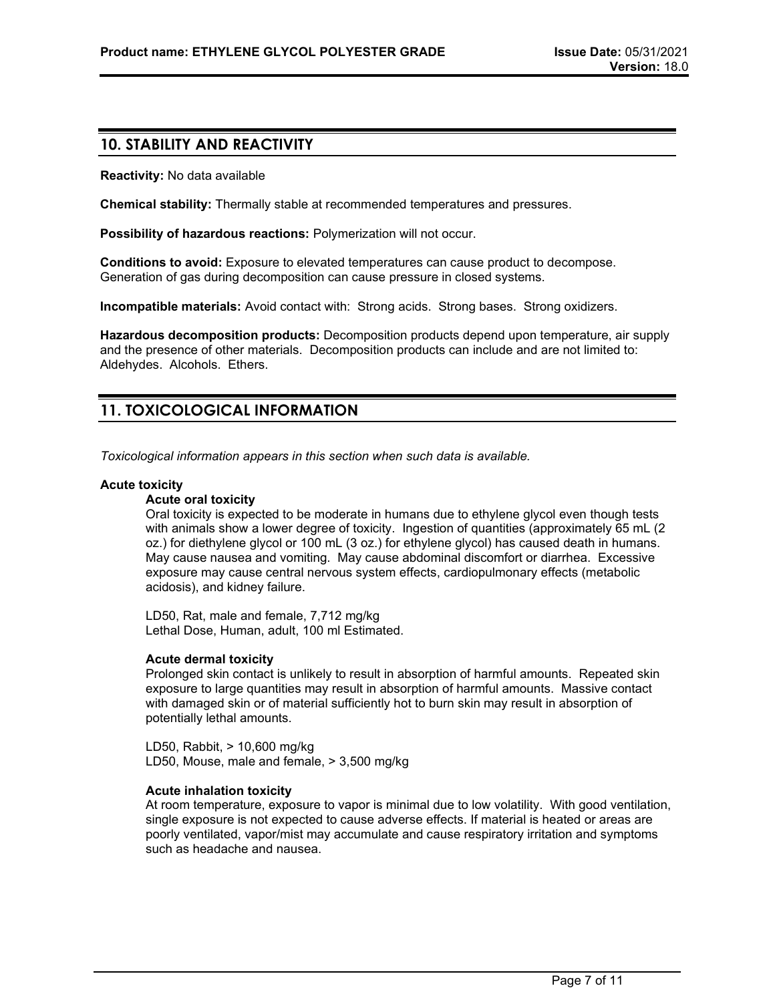### **10. STABILITY AND REACTIVITY**

**Reactivity:** No data available

**Chemical stability:** Thermally stable at recommended temperatures and pressures.

**Possibility of hazardous reactions:** Polymerization will not occur.

**Conditions to avoid:** Exposure to elevated temperatures can cause product to decompose. Generation of gas during decomposition can cause pressure in closed systems.

**Incompatible materials:** Avoid contact with: Strong acids. Strong bases. Strong oxidizers.

**Hazardous decomposition products:** Decomposition products depend upon temperature, air supply and the presence of other materials. Decomposition products can include and are not limited to: Aldehydes. Alcohols. Ethers.

# **11. TOXICOLOGICAL INFORMATION**

*Toxicological information appears in this section when such data is available.*

#### **Acute toxicity**

#### **Acute oral toxicity**

Oral toxicity is expected to be moderate in humans due to ethylene glycol even though tests with animals show a lower degree of toxicity. Ingestion of quantities (approximately 65 mL (2 oz.) for diethylene glycol or 100 mL (3 oz.) for ethylene glycol) has caused death in humans. May cause nausea and vomiting. May cause abdominal discomfort or diarrhea. Excessive exposure may cause central nervous system effects, cardiopulmonary effects (metabolic acidosis), and kidney failure.

LD50, Rat, male and female, 7,712 mg/kg Lethal Dose, Human, adult, 100 ml Estimated.

#### **Acute dermal toxicity**

Prolonged skin contact is unlikely to result in absorption of harmful amounts. Repeated skin exposure to large quantities may result in absorption of harmful amounts. Massive contact with damaged skin or of material sufficiently hot to burn skin may result in absorption of potentially lethal amounts.

LD50, Rabbit, > 10,600 mg/kg LD50, Mouse, male and female, > 3,500 mg/kg

#### **Acute inhalation toxicity**

At room temperature, exposure to vapor is minimal due to low volatility. With good ventilation, single exposure is not expected to cause adverse effects. If material is heated or areas are poorly ventilated, vapor/mist may accumulate and cause respiratory irritation and symptoms such as headache and nausea.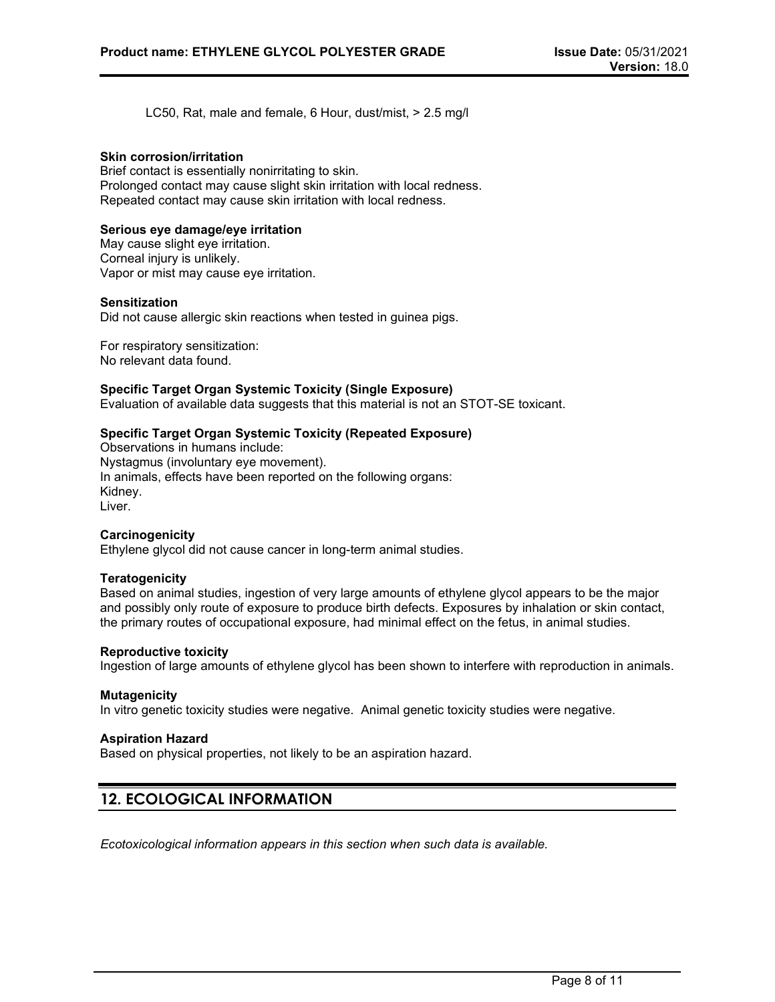LC50, Rat, male and female, 6 Hour, dust/mist, > 2.5 mg/l

#### **Skin corrosion/irritation**

Brief contact is essentially nonirritating to skin. Prolonged contact may cause slight skin irritation with local redness. Repeated contact may cause skin irritation with local redness.

#### **Serious eye damage/eye irritation**

May cause slight eye irritation. Corneal injury is unlikely. Vapor or mist may cause eye irritation.

#### **Sensitization**

Did not cause allergic skin reactions when tested in guinea pigs.

For respiratory sensitization: No relevant data found.

#### **Specific Target Organ Systemic Toxicity (Single Exposure)**

Evaluation of available data suggests that this material is not an STOT-SE toxicant.

#### **Specific Target Organ Systemic Toxicity (Repeated Exposure)**

Observations in humans include: Nystagmus (involuntary eye movement). In animals, effects have been reported on the following organs: Kidney. Liver.

#### **Carcinogenicity**

Ethylene glycol did not cause cancer in long-term animal studies.

#### **Teratogenicity**

Based on animal studies, ingestion of very large amounts of ethylene glycol appears to be the major and possibly only route of exposure to produce birth defects. Exposures by inhalation or skin contact, the primary routes of occupational exposure, had minimal effect on the fetus, in animal studies.

#### **Reproductive toxicity**

Ingestion of large amounts of ethylene glycol has been shown to interfere with reproduction in animals.

#### **Mutagenicity**

In vitro genetic toxicity studies were negative. Animal genetic toxicity studies were negative.

#### **Aspiration Hazard**

Based on physical properties, not likely to be an aspiration hazard.

### **12. ECOLOGICAL INFORMATION**

*Ecotoxicological information appears in this section when such data is available.*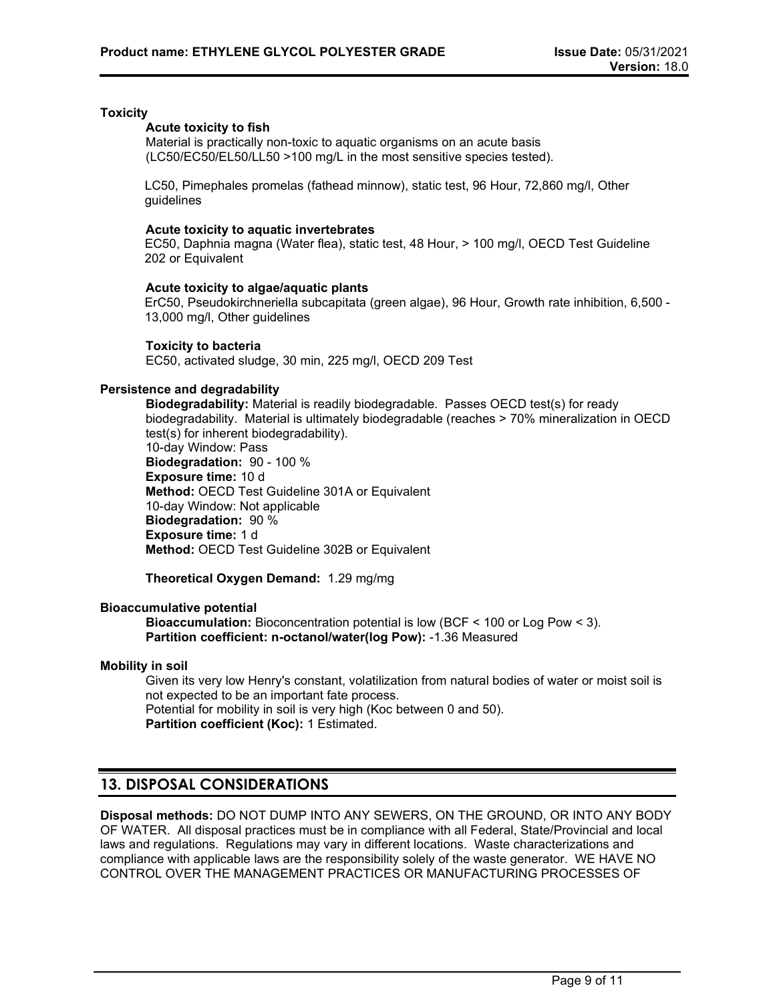#### **Toxicity**

#### **Acute toxicity to fish**

Material is practically non-toxic to aquatic organisms on an acute basis (LC50/EC50/EL50/LL50 >100 mg/L in the most sensitive species tested).

LC50, Pimephales promelas (fathead minnow), static test, 96 Hour, 72,860 mg/l, Other guidelines

#### **Acute toxicity to aquatic invertebrates**

EC50, Daphnia magna (Water flea), static test, 48 Hour, > 100 mg/l, OECD Test Guideline 202 or Equivalent

#### **Acute toxicity to algae/aquatic plants**

ErC50, Pseudokirchneriella subcapitata (green algae), 96 Hour, Growth rate inhibition, 6,500 - 13,000 mg/l, Other guidelines

#### **Toxicity to bacteria**

EC50, activated sludge, 30 min, 225 mg/l, OECD 209 Test

#### **Persistence and degradability**

**Biodegradability:** Material is readily biodegradable. Passes OECD test(s) for ready biodegradability. Material is ultimately biodegradable (reaches > 70% mineralization in OECD test(s) for inherent biodegradability). 10-day Window: Pass **Biodegradation:** 90 - 100 % **Exposure time:** 10 d **Method:** OECD Test Guideline 301A or Equivalent 10-day Window: Not applicable **Biodegradation:** 90 % **Exposure time:** 1 d **Method:** OECD Test Guideline 302B or Equivalent

**Theoretical Oxygen Demand:** 1.29 mg/mg

#### **Bioaccumulative potential**

**Bioaccumulation:** Bioconcentration potential is low (BCF < 100 or Log Pow < 3). **Partition coefficient: n-octanol/water(log Pow):** -1.36 Measured

#### **Mobility in soil**

Given its very low Henry's constant, volatilization from natural bodies of water or moist soil is not expected to be an important fate process. Potential for mobility in soil is very high (Koc between 0 and 50). **Partition coefficient (Koc):** 1 Estimated.

### **13. DISPOSAL CONSIDERATIONS**

**Disposal methods:** DO NOT DUMP INTO ANY SEWERS, ON THE GROUND, OR INTO ANY BODY OF WATER. All disposal practices must be in compliance with all Federal, State/Provincial and local laws and regulations. Regulations may vary in different locations. Waste characterizations and compliance with applicable laws are the responsibility solely of the waste generator. WE HAVE NO CONTROL OVER THE MANAGEMENT PRACTICES OR MANUFACTURING PROCESSES OF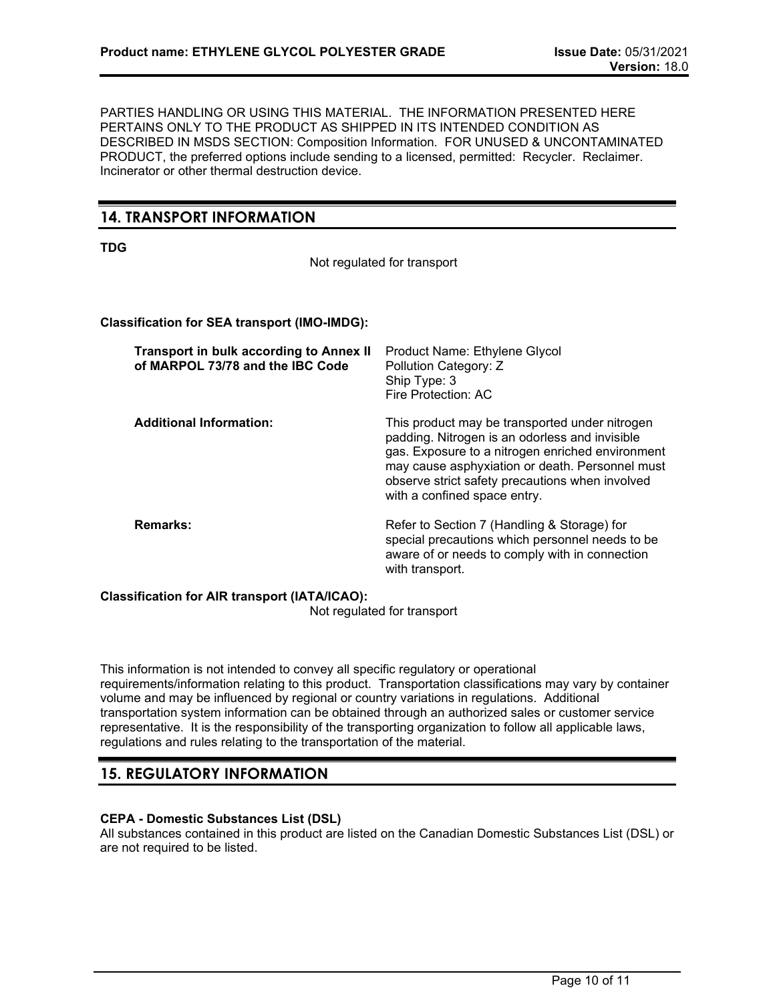PARTIES HANDLING OR USING THIS MATERIAL. THE INFORMATION PRESENTED HERE PERTAINS ONLY TO THE PRODUCT AS SHIPPED IN ITS INTENDED CONDITION AS DESCRIBED IN MSDS SECTION: Composition Information. FOR UNUSED & UNCONTAMINATED PRODUCT, the preferred options include sending to a licensed, permitted: Recycler. Reclaimer. Incinerator or other thermal destruction device.

# **14. TRANSPORT INFORMATION**

**TDG**

Not regulated for transport

#### **Classification for SEA transport (IMO-IMDG):**

| <b>Transport in bulk according to Annex II</b><br>of MARPOL 73/78 and the IBC Code | Product Name: Ethylene Glycol<br>Pollution Category: Z<br>Ship Type: 3<br>Fire Protection: AC                                                                                                                                                                                              |
|------------------------------------------------------------------------------------|--------------------------------------------------------------------------------------------------------------------------------------------------------------------------------------------------------------------------------------------------------------------------------------------|
| <b>Additional Information:</b>                                                     | This product may be transported under nitrogen<br>padding. Nitrogen is an odorless and invisible<br>gas. Exposure to a nitrogen enriched environment<br>may cause asphyxiation or death. Personnel must<br>observe strict safety precautions when involved<br>with a confined space entry. |
| Remarks:                                                                           | Refer to Section 7 (Handling & Storage) for<br>special precautions which personnel needs to be<br>aware of or needs to comply with in connection<br>with transport.                                                                                                                        |

#### **Classification for AIR transport (IATA/ICAO):**

Not regulated for transport

This information is not intended to convey all specific regulatory or operational requirements/information relating to this product. Transportation classifications may vary by container volume and may be influenced by regional or country variations in regulations. Additional transportation system information can be obtained through an authorized sales or customer service representative. It is the responsibility of the transporting organization to follow all applicable laws, regulations and rules relating to the transportation of the material.

### **15. REGULATORY INFORMATION**

#### **CEPA - Domestic Substances List (DSL)**

All substances contained in this product are listed on the Canadian Domestic Substances List (DSL) or are not required to be listed.